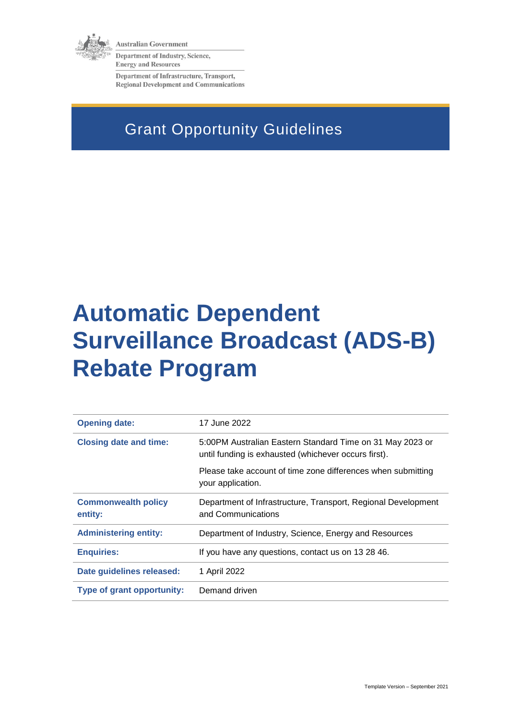

**Australian Government** 

Department of Industry, Science, **Energy and Resources** 

Department of Infrastructure, Transport, **Regional Development and Communications** 

# Grant Opportunity Guidelines

# **Automatic Dependent Surveillance Broadcast (ADS-B) Rebate Program**

| <b>Opening date:</b>                  | 17 June 2022                                                                                                      |
|---------------------------------------|-------------------------------------------------------------------------------------------------------------------|
| <b>Closing date and time:</b>         | 5:00PM Australian Eastern Standard Time on 31 May 2023 or<br>until funding is exhausted (whichever occurs first). |
|                                       | Please take account of time zone differences when submitting<br>your application.                                 |
| <b>Commonwealth policy</b><br>entity: | Department of Infrastructure, Transport, Regional Development<br>and Communications                               |
| <b>Administering entity:</b>          | Department of Industry, Science, Energy and Resources                                                             |
| <b>Enquiries:</b>                     | If you have any questions, contact us on 13 28 46.                                                                |
| Date guidelines released:             | 1 April 2022                                                                                                      |
| Type of grant opportunity:            | Demand driven                                                                                                     |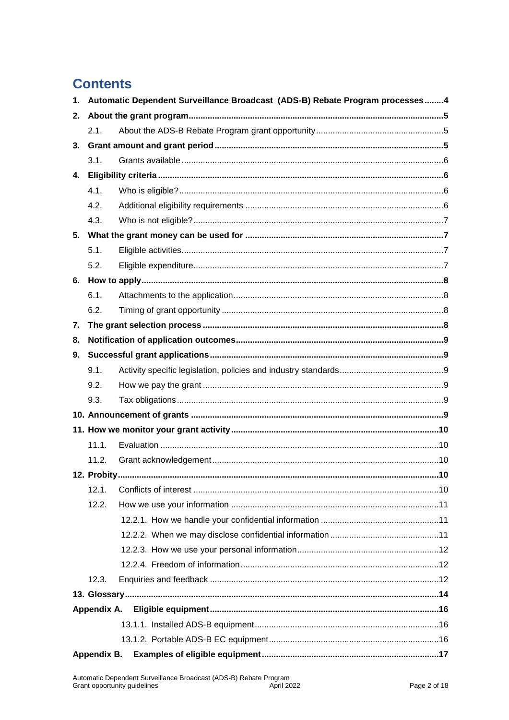### **Contents**

| 1. | Automatic Dependent Surveillance Broadcast (ADS-B) Rebate Program processes4 |    |  |
|----|------------------------------------------------------------------------------|----|--|
| 2. |                                                                              |    |  |
|    | 2.1.                                                                         |    |  |
| 3. |                                                                              |    |  |
|    | 3.1.                                                                         |    |  |
| 4. |                                                                              |    |  |
|    | 4.1.                                                                         |    |  |
|    | 4.2.                                                                         |    |  |
|    | 4.3.                                                                         |    |  |
| 5. |                                                                              |    |  |
|    | 5.1.                                                                         |    |  |
|    | 5.2.                                                                         |    |  |
|    |                                                                              |    |  |
|    | 6.1.                                                                         |    |  |
|    | 6.2.                                                                         |    |  |
| 7. |                                                                              |    |  |
| 8. |                                                                              |    |  |
| 9. |                                                                              |    |  |
|    | 9.1.                                                                         |    |  |
|    | 9.2.                                                                         |    |  |
|    | 9.3.                                                                         |    |  |
|    |                                                                              |    |  |
|    |                                                                              |    |  |
|    | 11.1.                                                                        |    |  |
|    | 11.2.                                                                        |    |  |
|    | 12. Probity                                                                  | 10 |  |
|    | 12.1.                                                                        |    |  |
|    | 12.2.                                                                        |    |  |
|    |                                                                              |    |  |
|    |                                                                              |    |  |
|    |                                                                              |    |  |
|    |                                                                              |    |  |
|    | 12.3.                                                                        |    |  |
|    |                                                                              |    |  |
|    | Appendix A.                                                                  |    |  |
|    |                                                                              |    |  |
|    |                                                                              |    |  |
|    | Appendix B.                                                                  |    |  |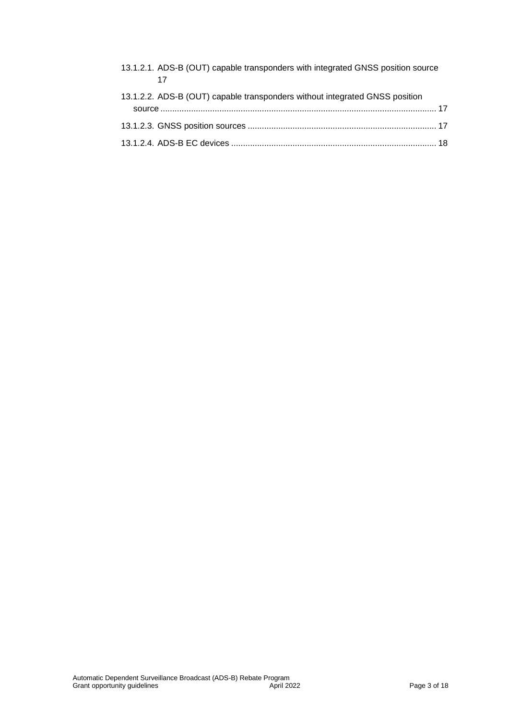| 13.1.2.1. ADS-B (OUT) capable transponders with integrated GNSS position source |  |
|---------------------------------------------------------------------------------|--|
| 13.1.2.2. ADS-B (OUT) capable transponders without integrated GNSS position     |  |
|                                                                                 |  |
|                                                                                 |  |
|                                                                                 |  |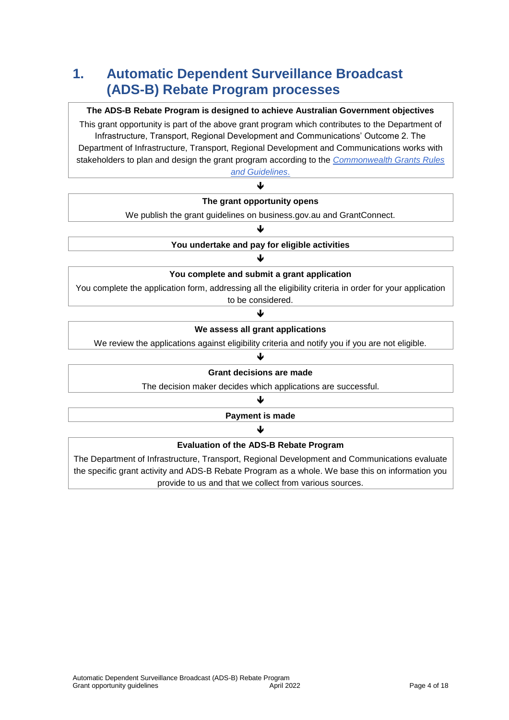### **1. Automatic Dependent Surveillance Broadcast (ADS-B) Rebate Program processes**

#### **The ADS-B Rebate Program is designed to achieve Australian Government objectives**

This grant opportunity is part of the above grant program which contributes to the Department of Infrastructure, Transport, Regional Development and Communications' Outcome 2. The Department of Infrastructure, Transport, Regional Development and Communications works with stakeholders to plan and design the grant program according to the *[Commonwealth Grants Rules](https://www.finance.gov.au/government/commonwealth-grants/commonwealth-grants-rules-guidelines)  [and Guidelines](https://www.finance.gov.au/government/commonwealth-grants/commonwealth-grants-rules-guidelines)*.

| The grant opportunity opens                                                                              |
|----------------------------------------------------------------------------------------------------------|
| We publish the grant guidelines on business.gov.au and GrantConnect.                                     |
|                                                                                                          |
| You undertake and pay for eligible activities                                                            |
|                                                                                                          |
| You complete and submit a grant application                                                              |
| You complete the application form, addressing all the eligibility criteria in order for your application |
| to be considered.                                                                                        |
|                                                                                                          |
| We assess all grant applications                                                                         |
| We review the applications against eligibility criteria and notify you if you are not eligible.          |
|                                                                                                          |
| <b>Grant decisions are made</b>                                                                          |
| The decision maker decides which applications are successful.                                            |
|                                                                                                          |
| Payment is made                                                                                          |
|                                                                                                          |
| <b>Evaluation of the ADS-B Rebate Program</b>                                                            |
| The Department of Infrastructure, Transport, Regional Development and Communications evaluate            |

the specific grant activity and ADS-B Rebate Program as a whole. We base this on information you provide to us and that we collect from various sources.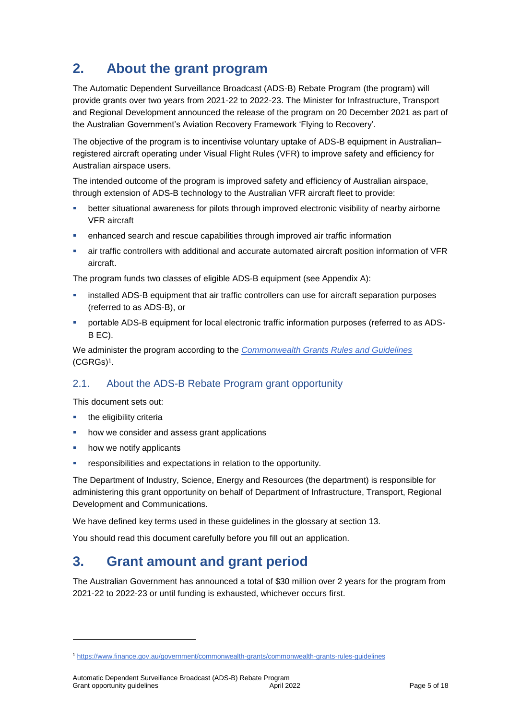### **2. About the grant program**

The Automatic Dependent Surveillance Broadcast (ADS-B) Rebate Program (the program) will provide grants over two years from 2021-22 to 2022-23. The Minister for Infrastructure, Transport and Regional Development announced the release of the program on 20 December 2021 as part of the Australian Government's Aviation Recovery Framework 'Flying to Recovery'.

The objective of the program is to incentivise voluntary uptake of ADS-B equipment in Australian– registered aircraft operating under Visual Flight Rules (VFR) to improve safety and efficiency for Australian airspace users.

The intended outcome of the program is improved safety and efficiency of Australian airspace, through extension of ADS-B technology to the Australian VFR aircraft fleet to provide:

- better situational awareness for pilots through improved electronic visibility of nearby airborne VFR aircraft
- enhanced search and rescue capabilities through improved air traffic information
- air traffic controllers with additional and accurate automated aircraft position information of VFR aircraft.

The program funds two classes of eligible ADS-B equipment (see Appendix A):

- installed ADS-B equipment that air traffic controllers can use for aircraft separation purposes (referred to as ADS-B), or
- portable ADS-B equipment for local electronic traffic information purposes (referred to as ADS-B EC).

We administer the program according to the *[Commonwealth Grants Rules and Guidelines](https://www.finance.gov.au/government/commonwealth-grants/commonwealth-grants-rules-guidelines)* [\(CGRGs\)](https://www.finance.gov.au/government/commonwealth-grants/commonwealth-grants-rules-guidelines)<sup>1</sup> .

### 2.1. About the ADS-B Rebate Program grant opportunity

This document sets out:

the eligibility criteria

1

- how we consider and assess grant applications
- how we notify applicants
- responsibilities and expectations in relation to the opportunity.

The Department of Industry, Science, Energy and Resources (the department) is responsible for administering this grant opportunity on behalf of Department of Infrastructure, Transport, Regional Development and Communications.

We have defined key terms used in these guidelines in the glossary at section 13.

You should read this document carefully before you fill out an application.

### **3. Grant amount and grant period**

The Australian Government has announced a total of \$30 million over 2 years for the program from 2021-22 to 2022-23 or until funding is exhausted, whichever occurs first.

<sup>1</sup> <https://www.finance.gov.au/government/commonwealth-grants/commonwealth-grants-rules-guidelines>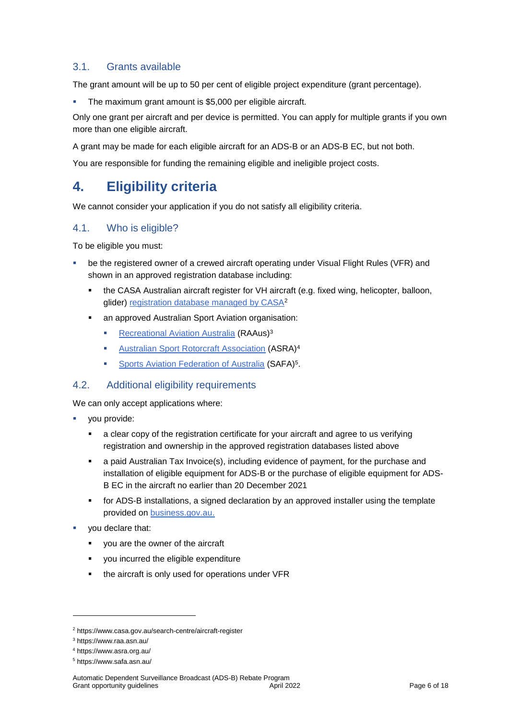### 3.1. Grants available

The grant amount will be up to 50 per cent of eligible project expenditure (grant percentage).

The maximum grant amount is \$5,000 per eligible aircraft.

Only one grant per aircraft and per device is permitted. You can apply for multiple grants if you own more than one eligible aircraft.

A grant may be made for each eligible aircraft for an ADS-B or an ADS-B EC, but not both.

You are responsible for funding the remaining eligible and ineligible project costs.

### **4. Eligibility criteria**

We cannot consider your application if you do not satisfy all eligibility criteria.

### 4.1. Who is eligible?

To be eligible you must:

- be the registered owner of a crewed aircraft operating under Visual Flight Rules (VFR) and shown in an approved registration database including:
	- the CASA Australian aircraft register for VH aircraft (e.g. fixed wing, helicopter, balloon, glider) [registration database managed by CASA](https://www.casa.gov.au/search-centre/aircraft-register)<sup>2</sup>
	- an approved Australian Sport Aviation organisation:
		- **[Recreational Aviation Australia](https://www.raa.asn.au/) (RAAus)**<sup>3</sup>
		- [Australian Sport Rotorcraft Association](https://www.asra.org.au/) (ASRA)<sup>4</sup>
		- **[Sports Aviation Federation of Australia](https://www.safa.asn.au/) (SAFA)<sup>5</sup>**.

#### 4.2. Additional eligibility requirements

We can only accept applications where:

- you provide:
	- a clear copy of the registration certificate for your aircraft and agree to us verifying registration and ownership in the approved registration databases listed above
	- a paid Australian Tax Invoice(s), including evidence of payment, for the purchase and installation of eligible equipment for ADS-B or the purchase of eligible equipment for ADS-B EC in the aircraft no earlier than 20 December 2021
	- **for ADS-B installations, a signed declaration by an approved installer using the template** provided on [business.gov.au.](https://business.gov.au/grants-and-programs/automatic-dependent-surveillance-broadcast-rebate-program#key-documents)
- you declare that:
	- you are the owner of the aircraft
	- you incurred the eligible expenditure
	- **the aircraft is only used for operations under VFR**

-

<sup>2</sup> https://www.casa.gov.au/search-centre/aircraft-register

<sup>3</sup> https://www.raa.asn.au/

<sup>4</sup> https://www.asra.org.au/

<sup>5</sup> https://www.safa.asn.au/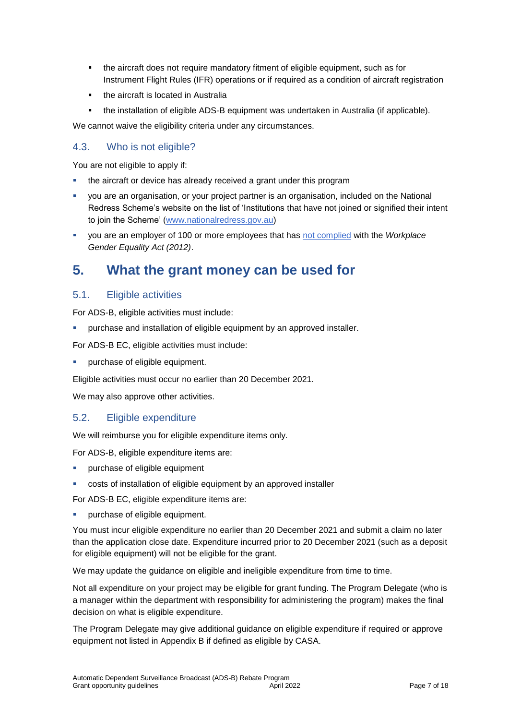- the aircraft does not require mandatory fitment of eligible equipment, such as for Instrument Flight Rules (IFR) operations or if required as a condition of aircraft registration
- the aircraft is located in Australia
- the installation of eligible ADS-B equipment was undertaken in Australia (if applicable).

We cannot waive the eligibility criteria under any circumstances.

### 4.3. Who is not eligible?

You are not eligible to apply if:

- the aircraft or device has already received a grant under this program
- you are an organisation, or your project partner is an organisation, included on the National Redress Scheme's website on the list of 'Institutions that have not joined or signified their intent to join the Scheme' [\(www.nationalredress.gov.au\)](http://www.nationalredress.gov.au/)
- you are an employer of 100 or more employees that has [not complied](https://www.wgea.gov.au/what-we-do/compliance-reporting/non-compliant-list) with the *Workplace Gender Equality Act (2012)*.

### **5. What the grant money can be used for**

### <span id="page-6-0"></span>5.1. Eligible activities

For ADS-B, eligible activities must include:

purchase and installation of eligible equipment by an approved installer.

For ADS-B EC, eligible activities must include:

purchase of eligible equipment.

Eligible activities must occur no earlier than 20 December 2021.

We may also approve other activities.

### <span id="page-6-1"></span>5.2. Eligible expenditure

We will reimburse you for eligible expenditure items only.

For ADS-B, eligible expenditure items are:

- purchase of eligible equipment
- costs of installation of eligible equipment by an approved installer

For ADS-B EC, eligible expenditure items are:

purchase of eligible equipment.

You must incur eligible expenditure no earlier than 20 December 2021 and submit a claim no later than the application close date. Expenditure incurred prior to 20 December 2021 (such as a deposit for eligible equipment) will not be eligible for the grant.

We may update the guidance on eligible and ineligible expenditure from time to time.

Not all expenditure on your project may be eligible for grant funding. The Program Delegate (who is a manager within the department with responsibility for administering the program) makes the final decision on what is eligible expenditure.

The Program Delegate may give additional guidance on eligible expenditure if required or approve equipment not listed in Appendix B if defined as eligible by CASA.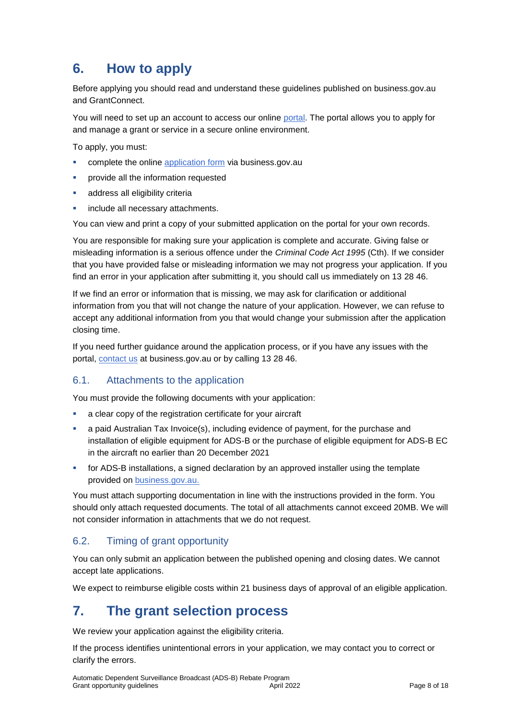### **6. How to apply**

Before applying you should read and understand these guidelines published on business.gov.au and GrantConnect.

You will need to set up an account to access our online [portal.](https://portal.business.gov.au/) The portal allows you to apply for and manage a grant or service in a secure online environment.

To apply, you must:

- complete the online [application form](https://business.gov.au/grants-and-programs/automatic-dependent-surveillance-broadcast-rebate-program#key-documents) via business.gov.au
- provide all the information requested
- **address all eligibility criteria**
- include all necessary attachments.

You can view and print a copy of your submitted application on the portal for your own records.

You are responsible for making sure your application is complete and accurate. Giving false or misleading information is a serious offence under the *Criminal Code Act 1995* (Cth). If we consider that you have provided false or misleading information we may not progress your application. If you find an error in your application after submitting it, you should call us immediately on 13 28 46.

If we find an error or information that is missing, we may ask for clarification or additional information from you that will not change the nature of your application. However, we can refuse to accept any additional information from you that would change your submission after the application closing time.

If you need further guidance around the application process, or if you have any issues with the portal, [contact us](https://www.business.gov.au/contact-us) at business.gov.au or by calling 13 28 46.

### 6.1. Attachments to the application

You must provide the following documents with your application:

- a clear copy of the registration certificate for your aircraft
- a paid Australian Tax Invoice(s), including evidence of payment, for the purchase and installation of eligible equipment for ADS-B or the purchase of eligible equipment for ADS-B EC in the aircraft no earlier than 20 December 2021
- for ADS-B installations, a signed declaration by an approved installer using the template provided on [business.gov.au.](https://business.gov.au/grants-and-programs/automatic-dependent-surveillance-broadcast-rebate-program#key-documents)

You must attach supporting documentation in line with the instructions provided in the form. You should only attach requested documents. The total of all attachments cannot exceed 20MB. We will not consider information in attachments that we do not request.

### 6.2. Timing of grant opportunity

You can only submit an application between the published opening and closing dates. We cannot accept late applications.

We expect to reimburse eligible costs within 21 business days of approval of an eligible application.

### **7. The grant selection process**

We review your application against the eligibility criteria.

If the process identifies unintentional errors in your application, we may contact you to correct or clarify the errors.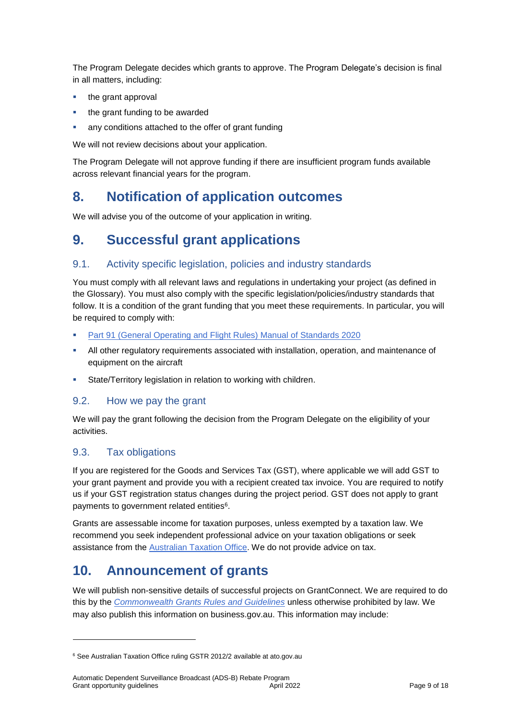The Program Delegate decides which grants to approve. The Program Delegate's decision is final in all matters, including:

- the grant approval
- the grant funding to be awarded
- any conditions attached to the offer of grant funding

We will not review decisions about your application.

The Program Delegate will not approve funding if there are insufficient program funds available across relevant financial years for the program.

### **8. Notification of application outcomes**

We will advise you of the outcome of your application in writing.

### **9. Successful grant applications**

### 9.1. Activity specific legislation, policies and industry standards

You must comply with all relevant laws and regulations in undertaking your project (as defined in the Glossary). You must also comply with the specific legislation/policies/industry standards that follow. It is a condition of the grant funding that you meet these requirements. In particular, you will be required to comply with:

- [Part 91 \(General Operating and Flight Rules\) Manual of Standards 2020](https://www.legislation.gov.au/Latest/F2020L01514)
- All other regulatory requirements associated with installation, operation, and maintenance of equipment on the aircraft
- State/Territory legislation in relation to working with children.

### 9.2. How we pay the grant

We will pay the grant following the decision from the Program Delegate on the eligibility of your activities.

### 9.3. Tax obligations

1

If you are registered for the Goods and Services Tax (GST), where applicable we will add GST to your grant payment and provide you with a recipient created tax invoice. You are required to notify us if your GST registration status changes during the project period. GST does not apply to grant payments to government related entities<sup>6</sup>.

Grants are assessable income for taxation purposes, unless exempted by a taxation law. We recommend you seek independent professional advice on your taxation obligations or seek assistance from the [Australian Taxation Office.](https://www.ato.gov.au/) We do not provide advice on tax.

### **10. Announcement of grants**

We will publish non-sensitive details of successful projects on GrantConnect. We are required to do this by the *[Commonwealth Grants Rules and Guidelines](https://www.finance.gov.au/government/commonwealth-grants/commonwealth-grants-rules-guidelines)* unless otherwise prohibited by law. We may also publish this information on business.gov.au. This information may include:

<sup>6</sup> See Australian Taxation Office ruling GSTR 2012/2 available at ato.gov.au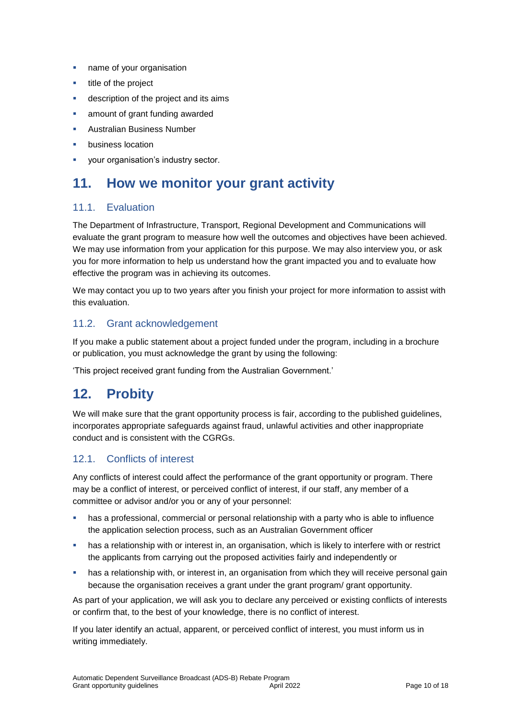- **name of your organisation**
- **title of the project**
- **description of the project and its aims**
- amount of grant funding awarded
- Australian Business Number
- business location
- **vour organisation's industry sector.**

### **11. How we monitor your grant activity**

### 11.1. Evaluation

The Department of Infrastructure, Transport, Regional Development and Communications will evaluate the grant program to measure how well the outcomes and objectives have been achieved. We may use information from your application for this purpose. We may also interview you, or ask you for more information to help us understand how the grant impacted you and to evaluate how effective the program was in achieving its outcomes.

We may contact you up to two years after you finish your project for more information to assist with this evaluation.

### 11.2. Grant acknowledgement

If you make a public statement about a project funded under the program, including in a brochure or publication, you must acknowledge the grant by using the following:

'This project received grant funding from the Australian Government.'

### **12. Probity**

We will make sure that the grant opportunity process is fair, according to the published guidelines, incorporates appropriate safeguards against fraud, unlawful activities and other inappropriate conduct and is consistent with the CGRGs.

### 12.1. Conflicts of interest

Any conflicts of interest could affect the performance of the grant opportunity or program. There may be a [conflict of interest,](http://www.apsc.gov.au/publications-and-media/current-publications/aps-values-and-code-of-conduct-in-practice/conflict-of-interest) or perceived conflict of interest, if our staff, any member of a committee or advisor and/or you or any of your personnel:

- has a professional, commercial or personal relationship with a party who is able to influence the application selection process, such as an Australian Government officer
- **•** has a relationship with or interest in, an organisation, which is likely to interfere with or restrict the applicants from carrying out the proposed activities fairly and independently or
- **•** has a relationship with, or interest in, an organisation from which they will receive personal gain because the organisation receives a grant under the grant program/ grant opportunity.

As part of your application, we will ask you to declare any perceived or existing conflicts of interests or confirm that, to the best of your knowledge, there is no conflict of interest.

If you later identify an actual, apparent, or perceived conflict of interest, you must inform us in writing immediately.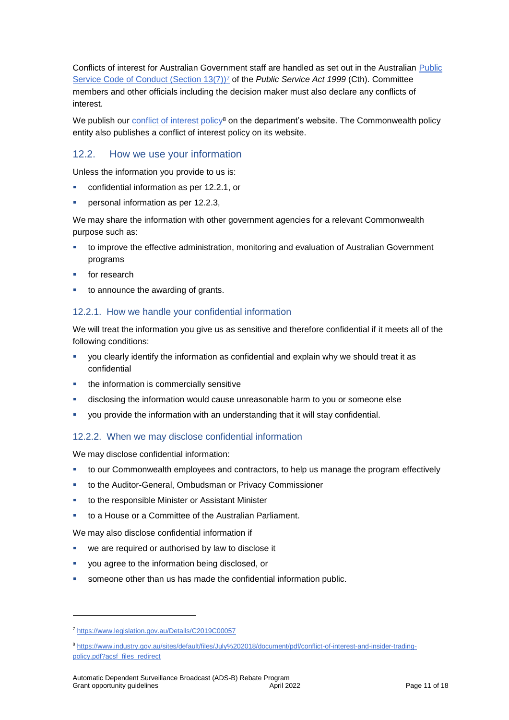Conflicts of interest for Australian Government staff are handled as set out in the Australian Public [Service Code of Conduct \(Section 13\(7\)\)](https://www.legislation.gov.au/Details/C2019C00057)<sup>7</sup> of the *Public Service Act 1999* (Cth). Committee members and other officials including the decision maker must also declare any conflicts of interest.

We publish our [conflict of interest policy](https://www.industry.gov.au/sites/g/files/net3906/f/July%202018/document/pdf/conflict-of-interest-and-insider-trading-policy.pdf)<sup>8</sup> on the department's website. The Commonwealth policy entity also publishes a conflict of interest policy on its website.

### 12.2. How we use your information

Unless the information you provide to us is:

- confidential information as per [12.2.1,](#page-10-0) or
- personal information as per [12.2.3,](#page-11-0)

We may share the information with other government agencies for a relevant Commonwealth purpose such as:

- to improve the effective administration, monitoring and evaluation of Australian Government programs
- for research
- to announce the awarding of grants.

#### <span id="page-10-0"></span>12.2.1. How we handle your confidential information

We will treat the information you give us as sensitive and therefore confidential if it meets all of the following conditions:

- you clearly identify the information as confidential and explain why we should treat it as confidential
- the information is commercially sensitive
- disclosing the information would cause unreasonable harm to you or someone else
- you provide the information with an understanding that it will stay confidential.

#### 12.2.2. When we may disclose confidential information

We may disclose confidential information:

- to our Commonwealth employees and contractors, to help us manage the program effectively
- to the Auditor-General, Ombudsman or Privacy Commissioner
- to the responsible Minister or Assistant Minister
- to a House or a Committee of the Australian Parliament.

We may also disclose confidential information if

- we are required or authorised by law to disclose it
- you agree to the information being disclosed, or
- someone other than us has made the confidential information public.

-

<sup>7</sup> https://www.legislation.gov.au/Details/C2019C00057

<sup>8</sup> [https://www.industry.gov.au/sites/default/files/July%202018/document/pdf/conflict-of-interest-and-insider-trading](https://www.industry.gov.au/sites/default/files/July%202018/document/pdf/conflict-of-interest-and-insider-trading-policy.pdf?acsf_files_redirect)[policy.pdf?acsf\\_files\\_redirect](https://www.industry.gov.au/sites/default/files/July%202018/document/pdf/conflict-of-interest-and-insider-trading-policy.pdf?acsf_files_redirect)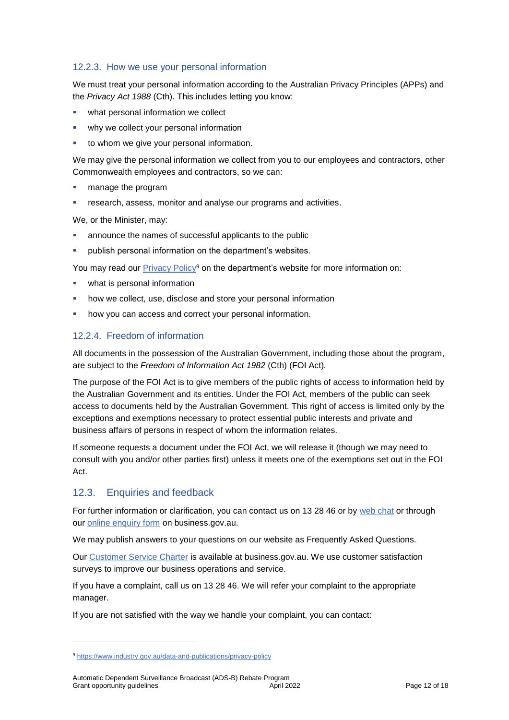### <span id="page-11-0"></span>12.2.3. How we use your personal information

We must treat your personal information according to the Australian Privacy Principles (APPs) and the *Privacy Act 1988* (Cth). This includes letting you know:

- what personal information we collect
- why we collect your personal information
- to whom we give your personal information.

We may give the personal information we collect from you to our employees and contractors, other Commonwealth employees and contractors, so we can:

- manage the program
- research, assess, monitor and analyse our programs and activities.

We, or the Minister, may:

- announce the names of successful applicants to the public
- publish personal information on the department's websites.

You may read our <u>Privacy Policy</u><sup>9</sup> on the department's website for more information on:

- what is personal information
- how we collect, use, disclose and store your personal information
- how you can access and correct your personal information.

### 12.2.4. Freedom of information

All documents in the possession of the Australian Government, including those about the program, are subject to the *Freedom of Information Act 1982* (Cth) (FOI Act)*.*

The purpose of the FOI Act is to give members of the public rights of access to information held by the Australian Government and its entities. Under the FOI Act, members of the public can seek access to documents held by the Australian Government. This right of access is limited only by the exceptions and exemptions necessary to protect essential public interests and private and business affairs of persons in respect of whom the information relates.

If someone requests a document under the FOI Act, we will release it (though we may need to consult with you and/or other parties first) unless it meets one of the exemptions set out in the FOI Act.

### 12.3. Enquiries and feedback

1

For further information or clarification, you can contact us on 13 28 46 or by [web chat](https://www.business.gov.au/contact-us) or through our [online enquiry form](http://www.business.gov.au/contact-us/Pages/default.aspx) on business.gov.au.

We may publish answers to your questions on our website as Frequently Asked Questions.

Our [Customer Service Charter](https://www.business.gov.au/about/customer-service-charter) is available at [business.gov.au.](http://www.business.gov.au/) We use customer satisfaction surveys to improve our business operations and service.

If you have a complaint, call us on 13 28 46. We will refer your complaint to the appropriate manager.

If you are not satisfied with the way we handle your complaint, you can contact:

<sup>9</sup> <https://www.industry.gov.au/data-and-publications/privacy-policy>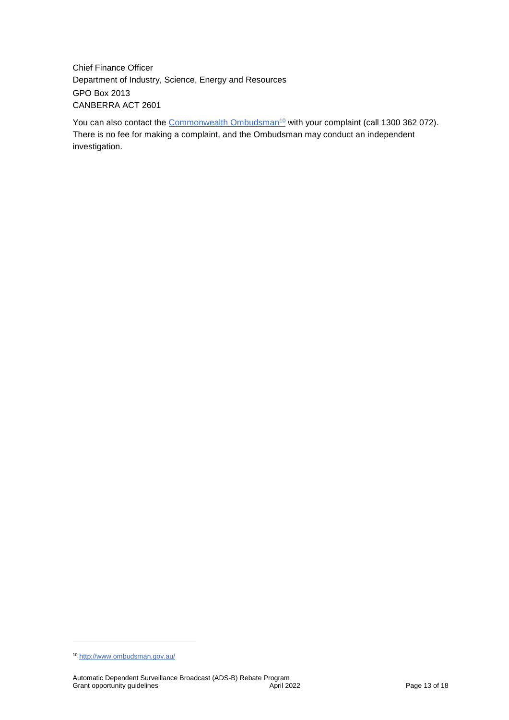Chief Finance Officer Department of Industry, Science, Energy and Resources GPO Box 2013 CANBERRA ACT 2601

You can also contact the [Commonwealth Ombudsman](http://www.ombudsman.gov.au/)<sup>10</sup> with your complaint (call 1300 362 072). There is no fee for making a complaint, and the Ombudsman may conduct an independent investigation.

1

<sup>10</sup> <http://www.ombudsman.gov.au/>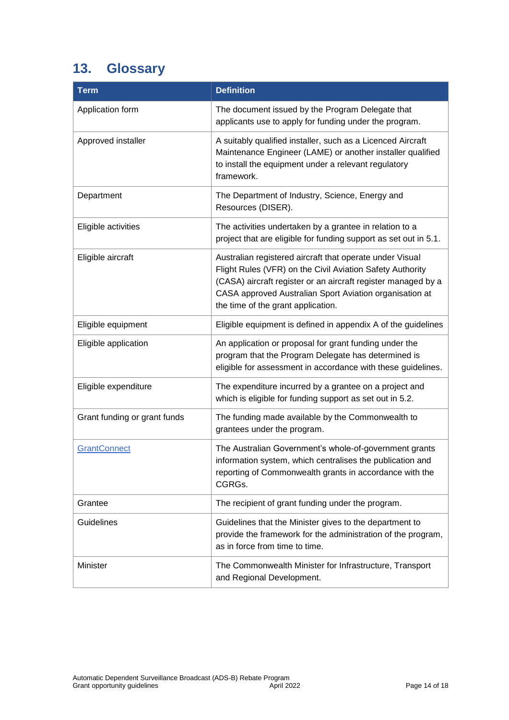## **13. Glossary**

| <b>Term</b>                  | <b>Definition</b>                                                                                                                                                                                                                                                                       |
|------------------------------|-----------------------------------------------------------------------------------------------------------------------------------------------------------------------------------------------------------------------------------------------------------------------------------------|
| Application form             | The document issued by the Program Delegate that<br>applicants use to apply for funding under the program.                                                                                                                                                                              |
| Approved installer           | A suitably qualified installer, such as a Licenced Aircraft<br>Maintenance Engineer (LAME) or another installer qualified<br>to install the equipment under a relevant regulatory<br>framework.                                                                                         |
| Department                   | The Department of Industry, Science, Energy and<br>Resources (DISER).                                                                                                                                                                                                                   |
| Eligible activities          | The activities undertaken by a grantee in relation to a<br>project that are eligible for funding support as set out in 5.1.                                                                                                                                                             |
| Eligible aircraft            | Australian registered aircraft that operate under Visual<br>Flight Rules (VFR) on the Civil Aviation Safety Authority<br>(CASA) aircraft register or an aircraft register managed by a<br>CASA approved Australian Sport Aviation organisation at<br>the time of the grant application. |
| Eligible equipment           | Eligible equipment is defined in appendix A of the guidelines                                                                                                                                                                                                                           |
| Eligible application         | An application or proposal for grant funding under the<br>program that the Program Delegate has determined is<br>eligible for assessment in accordance with these guidelines.                                                                                                           |
| Eligible expenditure         | The expenditure incurred by a grantee on a project and<br>which is eligible for funding support as set out in 5.2.                                                                                                                                                                      |
| Grant funding or grant funds | The funding made available by the Commonwealth to<br>grantees under the program.                                                                                                                                                                                                        |
| GrantConnect                 | The Australian Government's whole-of-government grants<br>information system, which centralises the publication and<br>reporting of Commonwealth grants in accordance with the<br>CGRGs.                                                                                                |
| Grantee                      | The recipient of grant funding under the program.                                                                                                                                                                                                                                       |
| <b>Guidelines</b>            | Guidelines that the Minister gives to the department to<br>provide the framework for the administration of the program,<br>as in force from time to time.                                                                                                                               |
| Minister                     | The Commonwealth Minister for Infrastructure, Transport<br>and Regional Development.                                                                                                                                                                                                    |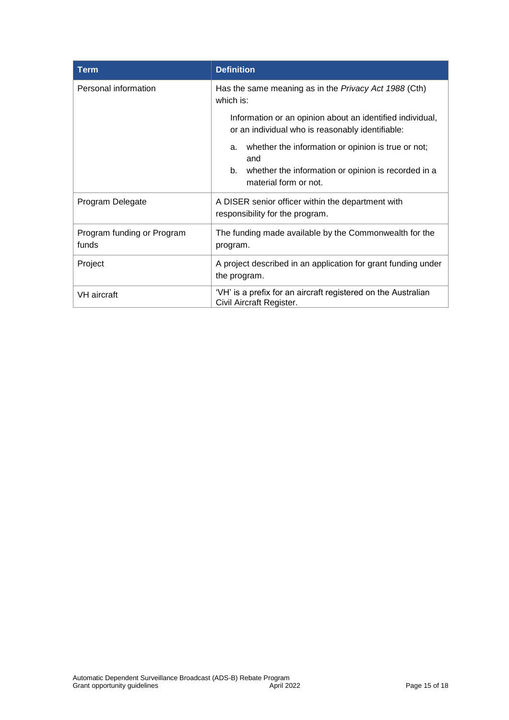| <b>Term</b>                         | <b>Definition</b>                                                                                             |
|-------------------------------------|---------------------------------------------------------------------------------------------------------------|
| Personal information                | Has the same meaning as in the <i>Privacy Act 1988</i> (Cth)<br>which is:                                     |
|                                     | Information or an opinion about an identified individual,<br>or an individual who is reasonably identifiable: |
|                                     | whether the information or opinion is true or not;<br>a.<br>and                                               |
|                                     | whether the information or opinion is recorded in a<br>b.<br>material form or not.                            |
| Program Delegate                    | A DISER senior officer within the department with<br>responsibility for the program.                          |
| Program funding or Program<br>funds | The funding made available by the Commonwealth for the<br>program.                                            |
| Project                             | A project described in an application for grant funding under<br>the program.                                 |
| VH aircraft                         | 'VH' is a prefix for an aircraft registered on the Australian<br>Civil Aircraft Register.                     |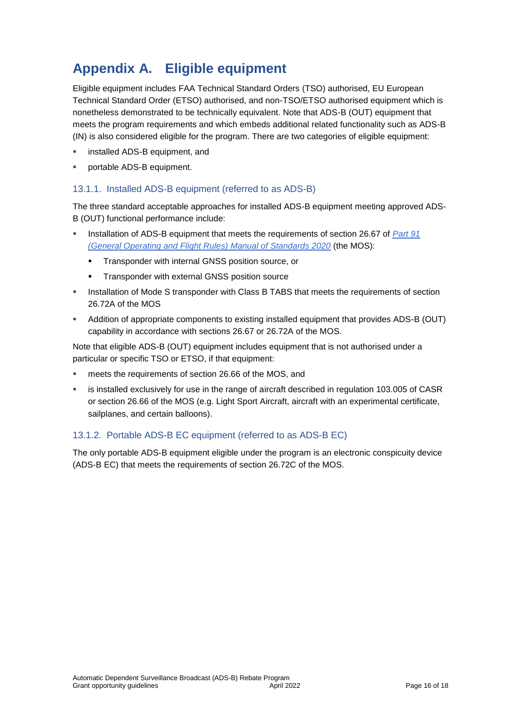### **Appendix A. Eligible equipment**

Eligible equipment includes FAA Technical Standard Orders (TSO) authorised, EU European Technical Standard Order (ETSO) authorised, and non-TSO/ETSO authorised equipment which is nonetheless demonstrated to be technically equivalent. Note that ADS-B (OUT) equipment that meets the program requirements and which embeds additional related functionality such as ADS-B (IN) is also considered eligible for the program. There are two categories of eligible equipment:

- **EXECUTE:** installed ADS-B equipment, and
- portable ADS-B equipment.

### 13.1.1. Installed ADS-B equipment (referred to as ADS-B)

The three standard acceptable approaches for installed ADS-B equipment meeting approved ADS-B (OUT) functional performance include:

- Installation of ADS-B equipment that meets the requirements of section 26.67 of *Part 91 [\(General Operating and Flight Rules\) Manual of Standards 2020](https://www.legislation.gov.au/Latest/F2020L01514)* (the MOS):
	- **Transponder with internal GNSS position source, or**
	- **Transponder with external GNSS position source**
- **Installation of Mode S transponder with Class B TABS that meets the requirements of section** 26.72A of the MOS
- Addition of appropriate components to existing installed equipment that provides ADS-B (OUT) capability in accordance with sections 26.67 or 26.72A of the MOS.

Note that eligible ADS-B (OUT) equipment includes equipment that is not authorised under a particular or specific TSO or ETSO, if that equipment:

- meets the requirements of section 26.66 of the MOS, and
- is installed exclusively for use in the range of aircraft described in regulation 103.005 of CASR or section 26.66 of the MOS (e.g. Light Sport Aircraft, aircraft with an experimental certificate, sailplanes, and certain balloons).

### 13.1.2. Portable ADS-B EC equipment (referred to as ADS-B EC)

The only portable ADS-B equipment eligible under the program is an electronic conspicuity device (ADS-B EC) that meets the requirements of section 26.72C of the MOS.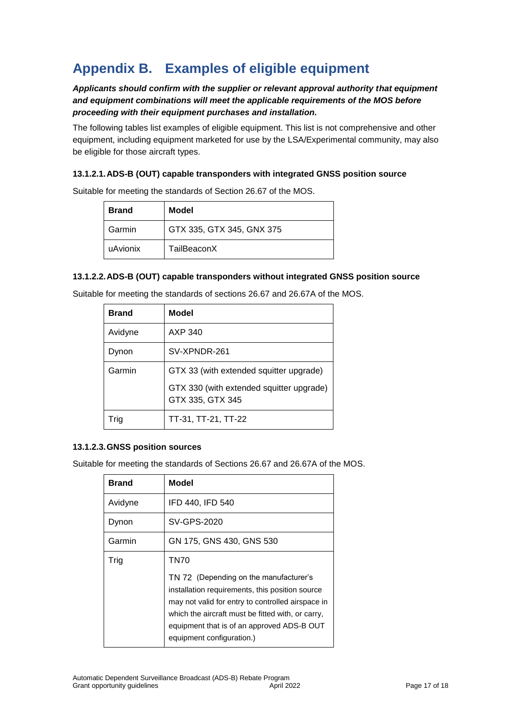### **Appendix B. Examples of eligible equipment**

### *Applicants should confirm with the supplier or relevant approval authority that equipment and equipment combinations will meet the applicable requirements of the MOS before proceeding with their equipment purchases and installation.*

The following tables list examples of eligible equipment. This list is not comprehensive and other equipment, including equipment marketed for use by the LSA/Experimental community, may also be eligible for those aircraft types.

#### **13.1.2.1.ADS-B (OUT) capable transponders with integrated GNSS position source**

| <b>Brand</b> | Model                     |
|--------------|---------------------------|
| Garmin       | GTX 335, GTX 345, GNX 375 |
| uAvionix     | TailBeaconX               |

Suitable for meeting the standards of Section 26.67 of the MOS.

#### **13.1.2.2.ADS-B (OUT) capable transponders without integrated GNSS position source**

| <b>Brand</b> | Model                                                        |
|--------------|--------------------------------------------------------------|
| Avidyne      | AXP 340                                                      |
| Dynon        | SV-XPNDR-261                                                 |
| Garmin       | GTX 33 (with extended squitter upgrade)                      |
|              | GTX 330 (with extended squitter upgrade)<br>GTX 335, GTX 345 |
| Tria         | TT-31, TT-21, TT-22                                          |

#### **13.1.2.3.GNSS position sources**

Suitable for meeting the standards of Sections 26.67 and 26.67A of the MOS.

| <b>Brand</b> | <b>Model</b>                                                                                                                                                                                                                                                                   |
|--------------|--------------------------------------------------------------------------------------------------------------------------------------------------------------------------------------------------------------------------------------------------------------------------------|
| Avidyne      | IFD 440, IFD 540                                                                                                                                                                                                                                                               |
| Dynon        | SV-GPS-2020                                                                                                                                                                                                                                                                    |
| Garmin       | GN 175, GNS 430, GNS 530                                                                                                                                                                                                                                                       |
| Trig         | TN70                                                                                                                                                                                                                                                                           |
|              | TN 72 (Depending on the manufacturer's<br>installation requirements, this position source<br>may not valid for entry to controlled airspace in<br>which the aircraft must be fitted with, or carry,<br>equipment that is of an approved ADS-B OUT<br>equipment configuration.) |